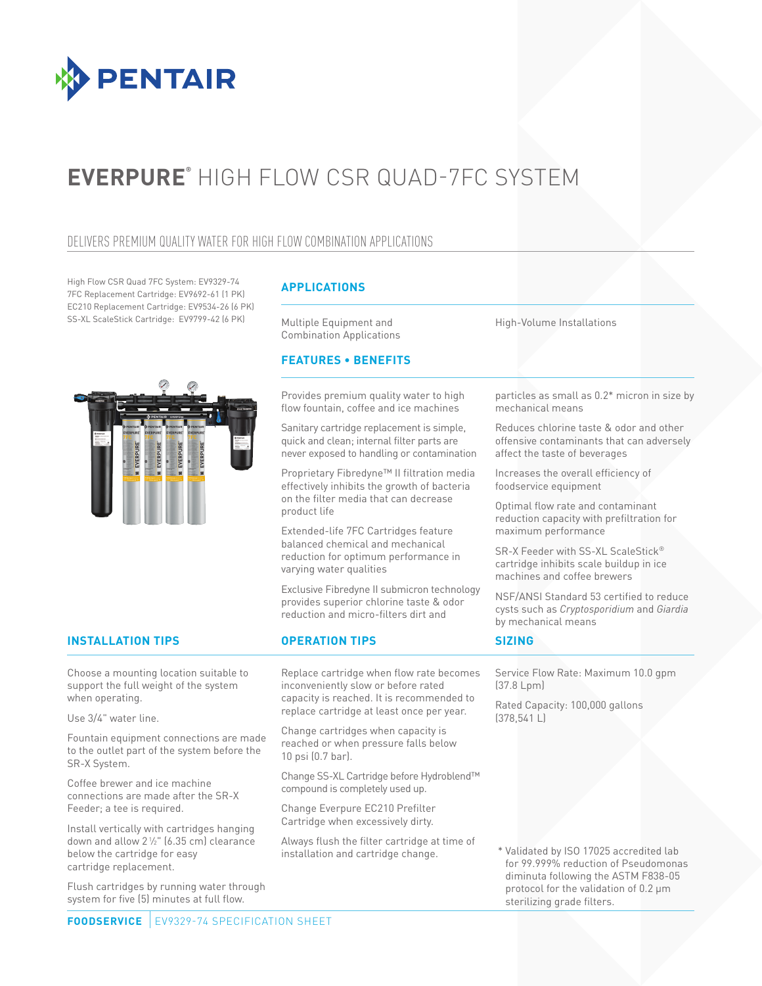

# **EVERPURE®** HIGH FLOW CSR QUAD-7FC SYSTEM

## DELIVERS PREMIUM QUALITY WATER FOR HIGH FLOW COMBINATION APPLICATIONS

High Flow CSR Quad 7FC System: EV9329-74 7FC Replacement Cartridge: EV9692-61 (1 PK) EC210 Replacement Cartridge: EV9534-26 (6 PK) SS-XL ScaleStick Cartridge: EV9799-42 (6 PK)



### **APPLICATIONS**

Multiple Equipment and Combination Applications

### **FEATURES • BENEFITS**

Provides premium quality water to high flow fountain, coffee and ice machines

Sanitary cartridge replacement is simple, quick and clean; internal filter parts are never exposed to handling or contamination

Proprietary Fibredyne™ II filtration media effectively inhibits the growth of bacteria on the filter media that can decrease product life

Extended-life 7FC Cartridges feature balanced chemical and mechanical reduction for optimum performance in varying water qualities

Exclusive Fibredyne II submicron technology provides superior chlorine taste & odor reduction and micro-filters dirt and

### **INSTALLATION TIPS OPERATION TIPS**

Choose a mounting location suitable to support the full weight of the system when operating.

Use 3/4" water line.

Fountain equipment connections are made to the outlet part of the system before the SR-X System.

Coffee brewer and ice machine connections are made after the SR-X Feeder; a tee is required.

Install vertically with cartridges hanging down and allow 21 ⁄2" (6.35 cm) clearance below the cartridge for easy cartridge replacement.

Flush cartridges by running water through system for five (5) minutes at full flow.

Replace cartridge when flow rate becomes inconveniently slow or before rated capacity is reached. It is recommended to replace cartridge at least once per year.

Change cartridges when capacity is reached or when pressure falls below 10 psi (0.7 bar).

Change SS-XL Cartridge before Hydroblend™ compound is completely used up.

Change Everpure EC210 Prefilter Cartridge when excessively dirty.

Always flush the filter cartridge at time of installation and cartridge change.

High-Volume Installations

particles as small as 0.2\* micron in size by mechanical means

Reduces chlorine taste & odor and other offensive contaminants that can adversely affect the taste of beverages

Increases the overall efficiency of foodservice equipment

Optimal flow rate and contaminant reduction capacity with prefiltration for maximum performance

SR-X Feeder with SS-XL ScaleStick® cartridge inhibits scale buildup in ice machines and coffee brewers

NSF/ANSI Standard 53 certified to reduce cysts such as *Cryptosporidium* and *Giardia* by mechanical means

### **SIZING**

Service Flow Rate: Maximum 10.0 gpm (37.8 Lpm)

Rated Capacity: 100,000 gallons (378,541 L)

 \* Validated by ISO 17025 accredited lab for 99.999% reduction of Pseudomonas diminuta following the ASTM F838-05 protocol for the validation of 0.2 μm sterilizing grade filters.